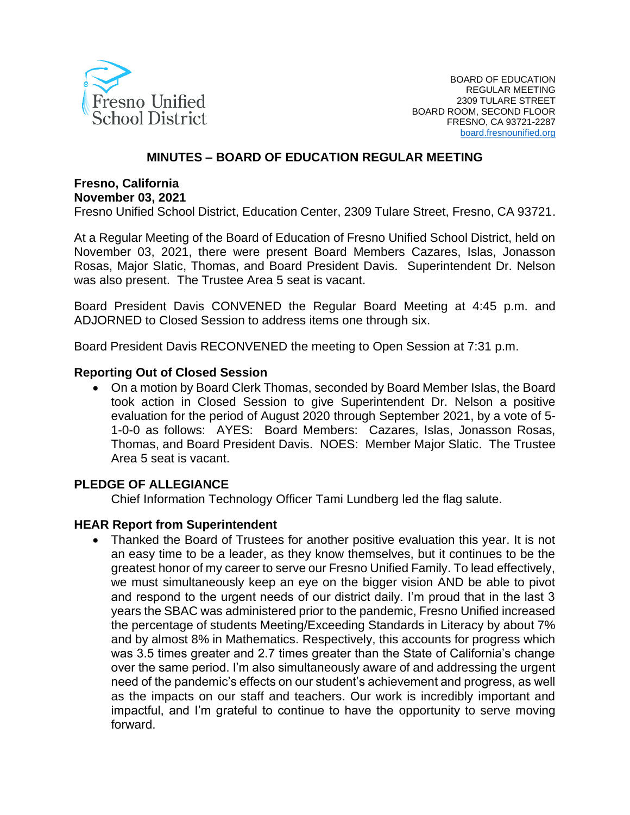

### **MINUTES – BOARD OF EDUCATION REGULAR MEETING**

## **Fresno, California November 03, 2021**

Fresno Unified School District, Education Center, 2309 Tulare Street, Fresno, CA 93721.

At a Regular Meeting of the Board of Education of Fresno Unified School District, held on November 03, 2021, there were present Board Members Cazares, Islas, Jonasson Rosas, Major Slatic, Thomas, and Board President Davis. Superintendent Dr. Nelson was also present. The Trustee Area 5 seat is vacant.

Board President Davis CONVENED the Regular Board Meeting at 4:45 p.m. and ADJORNED to Closed Session to address items one through six.

Board President Davis RECONVENED the meeting to Open Session at 7:31 p.m.

#### **Reporting Out of Closed Session**

• On a motion by Board Clerk Thomas, seconded by Board Member Islas, the Board took action in Closed Session to give Superintendent Dr. Nelson a positive evaluation for the period of August 2020 through September 2021, by a vote of 5- 1-0-0 as follows: AYES: Board Members: Cazares, Islas, Jonasson Rosas, Thomas, and Board President Davis. NOES: Member Major Slatic. The Trustee Area 5 seat is vacant.

### **PLEDGE OF ALLEGIANCE**

Chief Information Technology Officer Tami Lundberg led the flag salute.

### **HEAR Report from Superintendent**

• Thanked the Board of Trustees for another positive evaluation this year. It is not an easy time to be a leader, as they know themselves, but it continues to be the greatest honor of my career to serve our Fresno Unified Family. To lead effectively, we must simultaneously keep an eye on the bigger vision AND be able to pivot and respond to the urgent needs of our district daily. I'm proud that in the last 3 years the SBAC was administered prior to the pandemic, Fresno Unified increased the percentage of students Meeting/Exceeding Standards in Literacy by about 7% and by almost 8% in Mathematics. Respectively, this accounts for progress which was 3.5 times greater and 2.7 times greater than the State of California's change over the same period. I'm also simultaneously aware of and addressing the urgent need of the pandemic's effects on our student's achievement and progress, as well as the impacts on our staff and teachers. Our work is incredibly important and impactful, and I'm grateful to continue to have the opportunity to serve moving forward.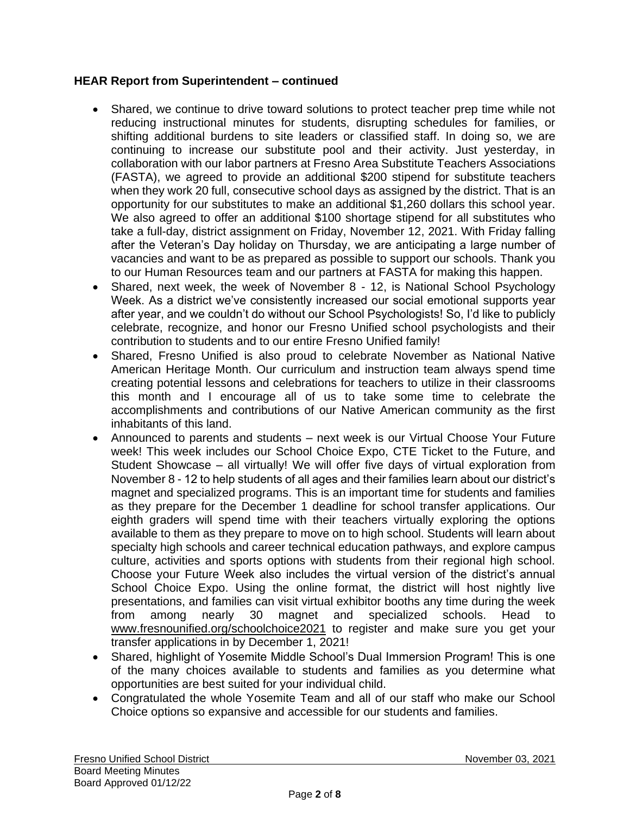### **HEAR Report from Superintendent – continued**

- Shared, we continue to drive toward solutions to protect teacher prep time while not reducing instructional minutes for students, disrupting schedules for families, or shifting additional burdens to site leaders or classified staff. In doing so, we are continuing to increase our substitute pool and their activity. Just yesterday, in collaboration with our labor partners at Fresno Area Substitute Teachers Associations (FASTA), we agreed to provide an additional \$200 stipend for substitute teachers when they work 20 full, consecutive school days as assigned by the district. That is an opportunity for our substitutes to make an additional \$1,260 dollars this school year. We also agreed to offer an additional \$100 shortage stipend for all substitutes who take a full-day, district assignment on Friday, November 12, 2021. With Friday falling after the Veteran's Day holiday on Thursday, we are anticipating a large number of vacancies and want to be as prepared as possible to support our schools. Thank you to our Human Resources team and our partners at FASTA for making this happen.
- Shared, next week, the week of November 8 12, is National School Psychology Week. As a district we've consistently increased our social emotional supports year after year, and we couldn't do without our School Psychologists! So, I'd like to publicly celebrate, recognize, and honor our Fresno Unified school psychologists and their contribution to students and to our entire Fresno Unified family!
- Shared, Fresno Unified is also proud to celebrate November as National Native American Heritage Month. Our curriculum and instruction team always spend time creating potential lessons and celebrations for teachers to utilize in their classrooms this month and I encourage all of us to take some time to celebrate the accomplishments and contributions of our Native American community as the first inhabitants of this land.
- Announced to parents and students next week is our Virtual Choose Your Future week! This week includes our School Choice Expo, CTE Ticket to the Future, and Student Showcase – all virtually! We will offer five days of virtual exploration from November 8 - 12 to help students of all ages and their families learn about our district's magnet and specialized programs. This is an important time for students and families as they prepare for the December 1 deadline for school transfer applications. Our eighth graders will spend time with their teachers virtually exploring the options available to them as they prepare to move on to high school. Students will learn about specialty high schools and career technical education pathways, and explore campus culture, activities and sports options with students from their regional high school. Choose your Future Week also includes the virtual version of the district's annual School Choice Expo. Using the online format, the district will host nightly live presentations, and families can visit virtual exhibitor booths any time during the week from among nearly 30 magnet and specialized schools. Head to [www.fresnounified.org/](http://www.fresnounified.org/)schoolchoice2021 to register and make sure you get your transfer applications in by December 1, 2021!
- Shared, highlight of Yosemite Middle School's Dual Immersion Program! This is one of the many choices available to students and families as you determine what opportunities are best suited for your individual child.
- Congratulated the whole Yosemite Team and all of our staff who make our School Choice options so expansive and accessible for our students and families.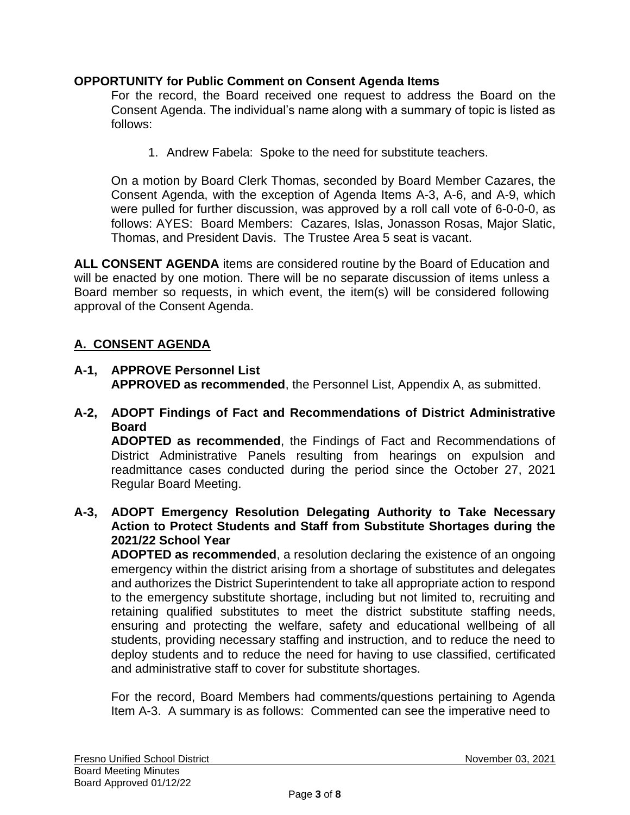## **OPPORTUNITY for Public Comment on Consent Agenda Items**

For the record, the Board received one request to address the Board on the Consent Agenda. The individual's name along with a summary of topic is listed as follows:

1. Andrew Fabela: Spoke to the need for substitute teachers.

On a motion by Board Clerk Thomas, seconded by Board Member Cazares, the Consent Agenda, with the exception of Agenda Items A-3, A-6, and A-9, which were pulled for further discussion, was approved by a roll call vote of 6-0-0-0, as follows: AYES: Board Members: Cazares, Islas, Jonasson Rosas, Major Slatic, Thomas, and President Davis. The Trustee Area 5 seat is vacant.

**ALL CONSENT AGENDA** items are considered routine by the Board of Education and will be enacted by one motion. There will be no separate discussion of items unless a Board member so requests, in which event, the item(s) will be considered following approval of the Consent Agenda.

# **A. CONSENT AGENDA**

**A-1, APPROVE Personnel List APPROVED as recommended**, the Personnel List, Appendix A, as submitted.

## **A-2, ADOPT Findings of Fact and Recommendations of District Administrative Board**

**ADOPTED as recommended**, the Findings of Fact and Recommendations of District Administrative Panels resulting from hearings on expulsion and readmittance cases conducted during the period since the October 27, 2021 Regular Board Meeting.

**A-3, ADOPT Emergency Resolution Delegating Authority to Take Necessary Action to Protect Students and Staff from Substitute Shortages during the 2021/22 School Year**

**ADOPTED as recommended**, a resolution declaring the existence of an ongoing emergency within the district arising from a shortage of substitutes and delegates and authorizes the District Superintendent to take all appropriate action to respond to the emergency substitute shortage, including but not limited to, recruiting and retaining qualified substitutes to meet the district substitute staffing needs, ensuring and protecting the welfare, safety and educational wellbeing of all students, providing necessary staffing and instruction, and to reduce the need to deploy students and to reduce the need for having to use classified, certificated and administrative staff to cover for substitute shortages.

For the record, Board Members had comments/questions pertaining to Agenda Item A-3. A summary is as follows: Commented can see the imperative need to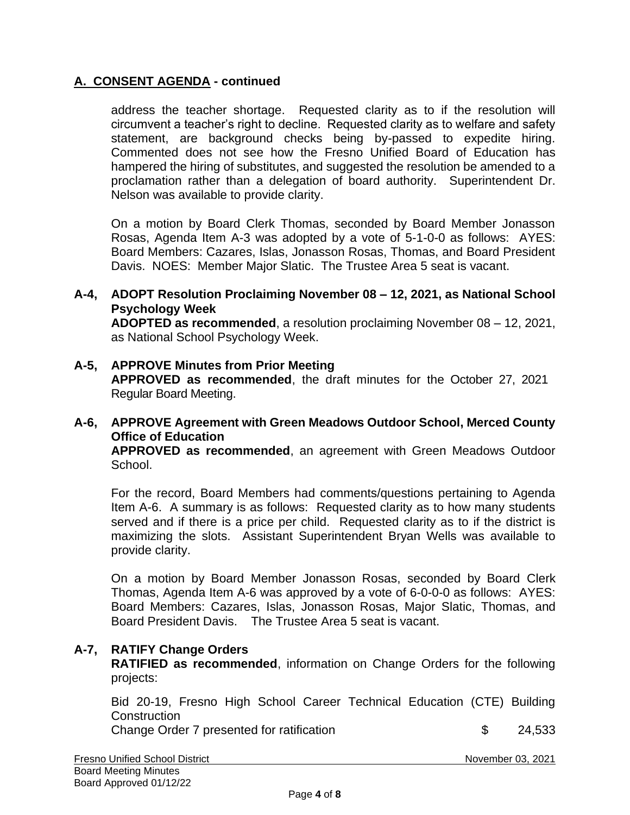## **A. CONSENT AGENDA - continued**

address the teacher shortage. Requested clarity as to if the resolution will circumvent a teacher's right to decline. Requested clarity as to welfare and safety statement, are background checks being by-passed to expedite hiring. Commented does not see how the Fresno Unified Board of Education has hampered the hiring of substitutes, and suggested the resolution be amended to a proclamation rather than a delegation of board authority. Superintendent Dr. Nelson was available to provide clarity.

On a motion by Board Clerk Thomas, seconded by Board Member Jonasson Rosas, Agenda Item A-3 was adopted by a vote of 5-1-0-0 as follows: AYES: Board Members: Cazares, Islas, Jonasson Rosas, Thomas, and Board President Davis. NOES: Member Major Slatic. The Trustee Area 5 seat is vacant.

### **A-4, ADOPT Resolution Proclaiming November 08 – 12, 2021, as National School Psychology Week**

**ADOPTED as recommended**, a resolution proclaiming November 08 – 12, 2021, as National School Psychology Week.

## **A-5, APPROVE Minutes from Prior Meeting APPROVED as recommended**, the draft minutes for the October 27, 2021 Regular Board Meeting.

## **A-6, APPROVE Agreement with Green Meadows Outdoor School, Merced County Office of Education**

**APPROVED as recommended**, an agreement with Green Meadows Outdoor School.

For the record, Board Members had comments/questions pertaining to Agenda Item A-6. A summary is as follows: Requested clarity as to how many students served and if there is a price per child. Requested clarity as to if the district is maximizing the slots. Assistant Superintendent Bryan Wells was available to provide clarity.

On a motion by Board Member Jonasson Rosas, seconded by Board Clerk Thomas, Agenda Item A-6 was approved by a vote of 6-0-0-0 as follows: AYES: Board Members: Cazares, Islas, Jonasson Rosas, Major Slatic, Thomas, and Board President Davis. The Trustee Area 5 seat is vacant.

### **A-7, RATIFY Change Orders**

**RATIFIED as recommended**, information on Change Orders for the following projects:

Bid 20-19, Fresno High School Career Technical Education (CTE) Building **Construction** 

Change Order 7 presented for ratification \$ 24,533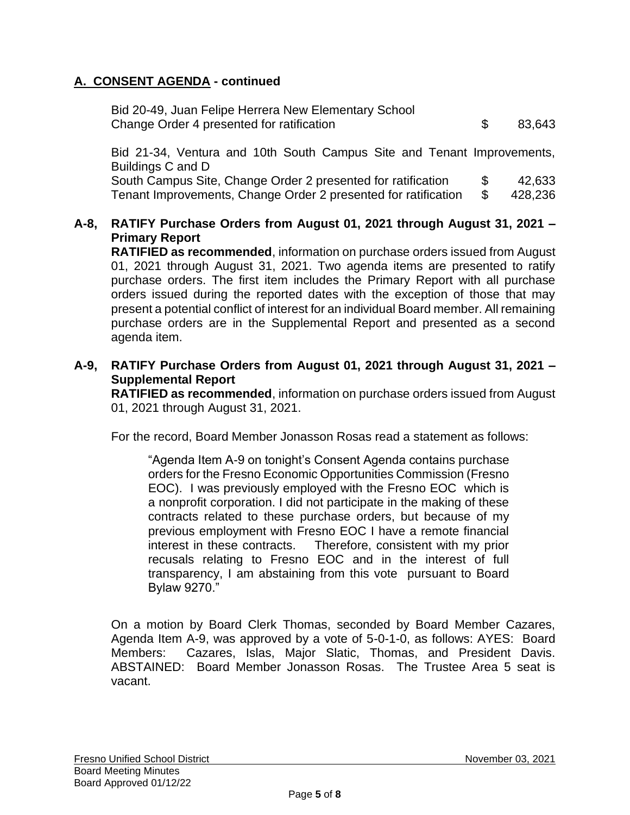## **A. CONSENT AGENDA - continued**

| Bid 20-49, Juan Felipe Herrera New Elementary School |        |
|------------------------------------------------------|--------|
| Change Order 4 presented for ratification            | 83,643 |

Bid 21-34, Ventura and 10th South Campus Site and Tenant Improvements, Buildings C and D

South Campus Site, Change Order 2 presented for ratification  $$ 42,633$ Tenant Improvements, Change Order 2 presented for ratification \$ 428,236

## **A-8, RATIFY Purchase Orders from August 01, 2021 through August 31, 2021 – Primary Report**

**RATIFIED as recommended**, information on purchase orders issued from August 01, 2021 through August 31, 2021. Two agenda items are presented to ratify purchase orders. The first item includes the Primary Report with all purchase orders issued during the reported dates with the exception of those that may present a potential conflict of interest for an individual Board member. All remaining purchase orders are in the Supplemental Report and presented as a second agenda item.

**A-9, RATIFY Purchase Orders from August 01, 2021 through August 31, 2021 – Supplemental Report**

**RATIFIED as recommended**, information on purchase orders issued from August 01, 2021 through August 31, 2021.

For the record, Board Member Jonasson Rosas read a statement as follows:

"Agenda Item A-9 on tonight's Consent Agenda contains purchase orders for the Fresno Economic Opportunities Commission (Fresno EOC). I was previously employed with the Fresno EOC which is a nonprofit corporation. I did not participate in the making of these contracts related to these purchase orders, but because of my previous employment with Fresno EOC I have a remote financial interest in these contracts. Therefore, consistent with my prior recusals relating to Fresno EOC and in the interest of full transparency, I am abstaining from this vote pursuant to Board Bylaw 9270."

On a motion by Board Clerk Thomas, seconded by Board Member Cazares, Agenda Item A-9, was approved by a vote of 5-0-1-0, as follows: AYES: Board Members: Cazares, Islas, Major Slatic, Thomas, and President Davis. ABSTAINED: Board Member Jonasson Rosas. The Trustee Area 5 seat is vacant.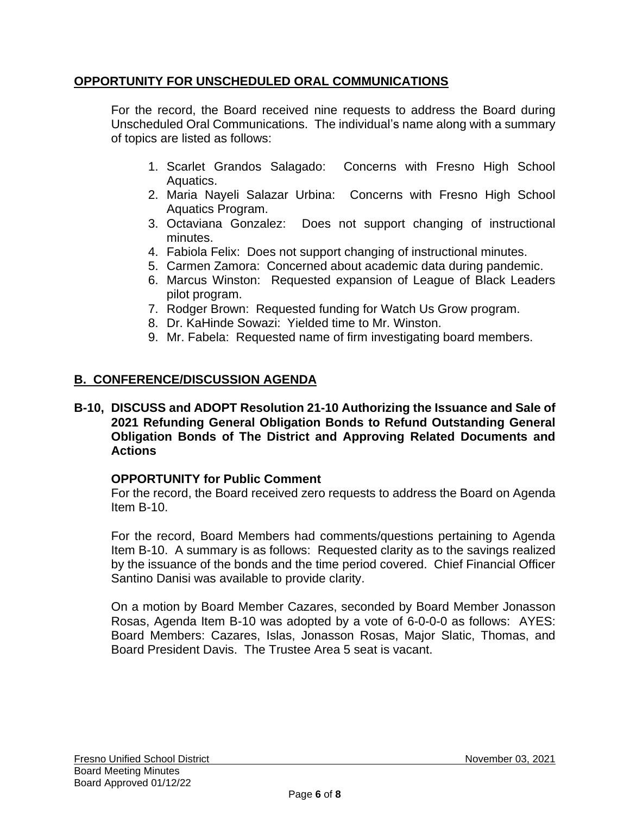## **OPPORTUNITY FOR UNSCHEDULED ORAL COMMUNICATIONS**

For the record, the Board received nine requests to address the Board during Unscheduled Oral Communications. The individual's name along with a summary of topics are listed as follows:

- 1. Scarlet Grandos Salagado: Concerns with Fresno High School Aquatics.
- 2. Maria Nayeli Salazar Urbina: Concerns with Fresno High School Aquatics Program.
- 3. Octaviana Gonzalez: Does not support changing of instructional minutes.
- 4. Fabiola Felix: Does not support changing of instructional minutes.
- 5. Carmen Zamora: Concerned about academic data during pandemic.
- 6. Marcus Winston: Requested expansion of League of Black Leaders pilot program.
- 7. Rodger Brown: Requested funding for Watch Us Grow program.
- 8. Dr. KaHinde Sowazi: Yielded time to Mr. Winston.
- 9. Mr. Fabela: Requested name of firm investigating board members.

# **B. CONFERENCE/DISCUSSION AGENDA**

### **B-10, DISCUSS and ADOPT Resolution 21-10 Authorizing the Issuance and Sale of 2021 Refunding General Obligation Bonds to Refund Outstanding General Obligation Bonds of The District and Approving Related Documents and Actions**

## **OPPORTUNITY for Public Comment**

For the record, the Board received zero requests to address the Board on Agenda Item B-10.

For the record, Board Members had comments/questions pertaining to Agenda Item B-10. A summary is as follows: Requested clarity as to the savings realized by the issuance of the bonds and the time period covered. Chief Financial Officer Santino Danisi was available to provide clarity.

On a motion by Board Member Cazares, seconded by Board Member Jonasson Rosas, Agenda Item B-10 was adopted by a vote of 6-0-0-0 as follows: AYES: Board Members: Cazares, Islas, Jonasson Rosas, Major Slatic, Thomas, and Board President Davis. The Trustee Area 5 seat is vacant.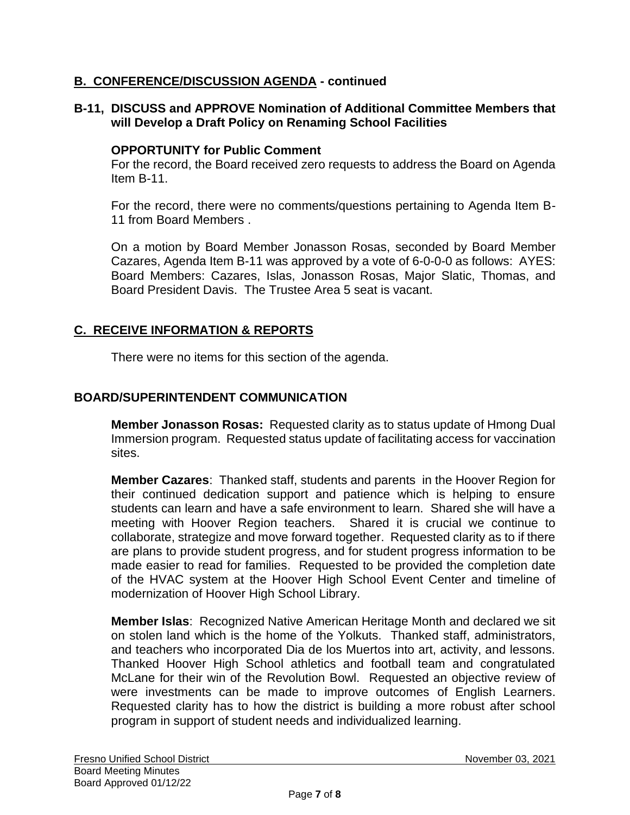## **B. CONFERENCE/DISCUSSION AGENDA - continued**

## **B-11, DISCUSS and APPROVE Nomination of Additional Committee Members that will Develop a Draft Policy on Renaming School Facilities**

### **OPPORTUNITY for Public Comment**

For the record, the Board received zero requests to address the Board on Agenda Item B-11.

For the record, there were no comments/questions pertaining to Agenda Item B-11 from Board Members .

On a motion by Board Member Jonasson Rosas, seconded by Board Member Cazares, Agenda Item B-11 was approved by a vote of 6-0-0-0 as follows: AYES: Board Members: Cazares, Islas, Jonasson Rosas, Major Slatic, Thomas, and Board President Davis. The Trustee Area 5 seat is vacant.

## **C. RECEIVE INFORMATION & REPORTS**

There were no items for this section of the agenda.

## **BOARD/SUPERINTENDENT COMMUNICATION**

**Member Jonasson Rosas:** Requested clarity as to status update of Hmong Dual Immersion program. Requested status update of facilitating access for vaccination sites.

**Member Cazares**: Thanked staff, students and parents in the Hoover Region for their continued dedication support and patience which is helping to ensure students can learn and have a safe environment to learn. Shared she will have a meeting with Hoover Region teachers. Shared it is crucial we continue to collaborate, strategize and move forward together. Requested clarity as to if there are plans to provide student progress, and for student progress information to be made easier to read for families. Requested to be provided the completion date of the HVAC system at the Hoover High School Event Center and timeline of modernization of Hoover High School Library.

**Member Islas**: Recognized Native American Heritage Month and declared we sit on stolen land which is the home of the Yolkuts. Thanked staff, administrators, and teachers who incorporated Dia de los Muertos into art, activity, and lessons. Thanked Hoover High School athletics and football team and congratulated McLane for their win of the Revolution Bowl. Requested an objective review of were investments can be made to improve outcomes of English Learners. Requested clarity has to how the district is building a more robust after school program in support of student needs and individualized learning.